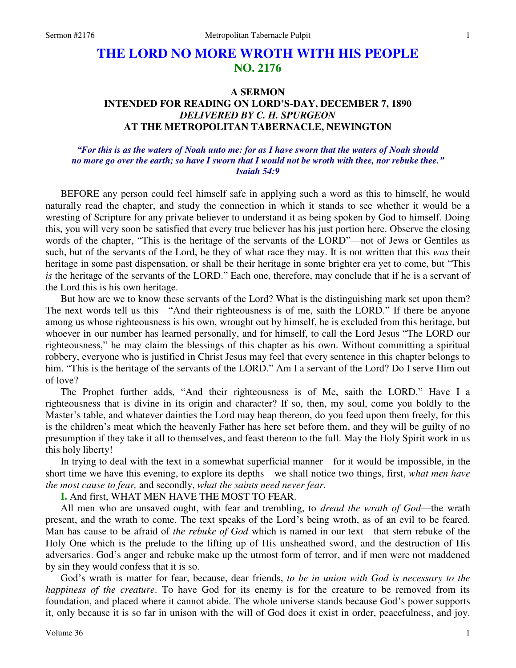# **THE LORD NO MORE WROTH WITH HIS PEOPLE NO. 2176**

## **A SERMON INTENDED FOR READING ON LORD'S-DAY, DECEMBER 7, 1890**  *DELIVERED BY C. H. SPURGEON*  **AT THE METROPOLITAN TABERNACLE, NEWINGTON**

## *"For this is as the waters of Noah unto me: for as I have sworn that the waters of Noah should no more go over the earth; so have I sworn that I would not be wroth with thee, nor rebuke thee." Isaiah 54:9*

BEFORE any person could feel himself safe in applying such a word as this to himself, he would naturally read the chapter, and study the connection in which it stands to see whether it would be a wresting of Scripture for any private believer to understand it as being spoken by God to himself. Doing this, you will very soon be satisfied that every true believer has his just portion here. Observe the closing words of the chapter, "This is the heritage of the servants of the LORD"—not of Jews or Gentiles as such, but of the servants of the Lord, be they of what race they may. It is not written that this *was* their heritage in some past dispensation, or shall be their heritage in some brighter era yet to come, but "This *is* the heritage of the servants of the LORD." Each one, therefore, may conclude that if he is a servant of the Lord this is his own heritage.

 But how are we to know these servants of the Lord? What is the distinguishing mark set upon them? The next words tell us this—"And their righteousness is of me, saith the LORD." If there be anyone among us whose righteousness is his own, wrought out by himself, he is excluded from this heritage, but whoever in our number has learned personally, and for himself, to call the Lord Jesus "The LORD our righteousness," he may claim the blessings of this chapter as his own. Without committing a spiritual robbery, everyone who is justified in Christ Jesus may feel that every sentence in this chapter belongs to him. "This is the heritage of the servants of the LORD." Am I a servant of the Lord? Do I serve Him out of love?

 The Prophet further adds, "And their righteousness is of Me, saith the LORD." Have I a righteousness that is divine in its origin and character? If so, then, my soul, come you boldly to the Master's table, and whatever dainties the Lord may heap thereon, do you feed upon them freely, for this is the children's meat which the heavenly Father has here set before them, and they will be guilty of no presumption if they take it all to themselves, and feast thereon to the full. May the Holy Spirit work in us this holy liberty!

 In trying to deal with the text in a somewhat superficial manner—for it would be impossible, in the short time we have this evening, to explore its depths—we shall notice two things, first, *what men have the most cause to fear,* and secondly, *what the saints need never fear*.

**I.** And first, WHAT MEN HAVE THE MOST TO FEAR.

 All men who are unsaved ought, with fear and trembling, to *dread the wrath of God*—the wrath present, and the wrath to come. The text speaks of the Lord's being wroth, as of an evil to be feared. Man has cause to be afraid of *the rebuke of God* which is named in our text—that stern rebuke of the Holy One which is the prelude to the lifting up of His unsheathed sword, and the destruction of His adversaries. God's anger and rebuke make up the utmost form of terror, and if men were not maddened by sin they would confess that it is so.

 God's wrath is matter for fear, because, dear friends, *to be in union with God is necessary to the happiness of the creature*. To have God for its enemy is for the creature to be removed from its foundation, and placed where it cannot abide. The whole universe stands because God's power supports it, only because it is so far in unison with the will of God does it exist in order, peacefulness, and joy.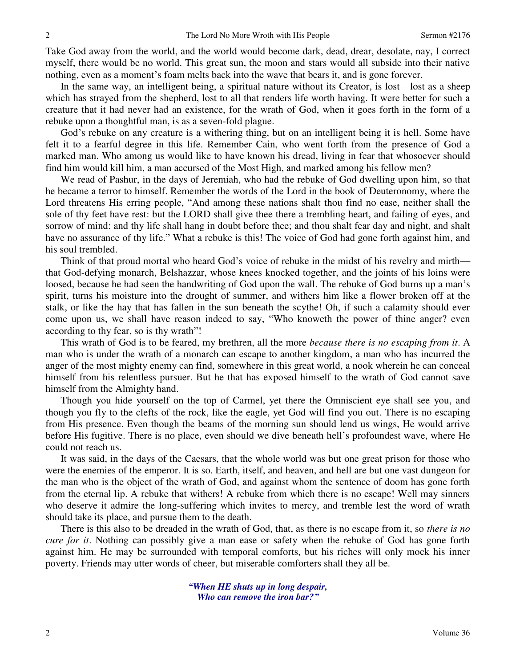Take God away from the world, and the world would become dark, dead, drear, desolate, nay, I correct myself, there would be no world. This great sun, the moon and stars would all subside into their native nothing, even as a moment's foam melts back into the wave that bears it, and is gone forever.

 In the same way, an intelligent being, a spiritual nature without its Creator, is lost—lost as a sheep which has strayed from the shepherd, lost to all that renders life worth having. It were better for such a creature that it had never had an existence, for the wrath of God, when it goes forth in the form of a rebuke upon a thoughtful man, is as a seven-fold plague.

 God's rebuke on any creature is a withering thing, but on an intelligent being it is hell. Some have felt it to a fearful degree in this life. Remember Cain, who went forth from the presence of God a marked man. Who among us would like to have known his dread, living in fear that whosoever should find him would kill him, a man accursed of the Most High, and marked among his fellow men?

 We read of Pashur, in the days of Jeremiah, who had the rebuke of God dwelling upon him, so that he became a terror to himself. Remember the words of the Lord in the book of Deuteronomy, where the Lord threatens His erring people, "And among these nations shalt thou find no ease, neither shall the sole of thy feet have rest: but the LORD shall give thee there a trembling heart, and failing of eyes, and sorrow of mind: and thy life shall hang in doubt before thee; and thou shalt fear day and night, and shalt have no assurance of thy life." What a rebuke is this! The voice of God had gone forth against him, and his soul trembled.

 Think of that proud mortal who heard God's voice of rebuke in the midst of his revelry and mirth that God-defying monarch, Belshazzar, whose knees knocked together, and the joints of his loins were loosed, because he had seen the handwriting of God upon the wall. The rebuke of God burns up a man's spirit, turns his moisture into the drought of summer, and withers him like a flower broken off at the stalk, or like the hay that has fallen in the sun beneath the scythe! Oh, if such a calamity should ever come upon us, we shall have reason indeed to say, "Who knoweth the power of thine anger? even according to thy fear, so is thy wrath"!

 This wrath of God is to be feared, my brethren, all the more *because there is no escaping from it*. A man who is under the wrath of a monarch can escape to another kingdom, a man who has incurred the anger of the most mighty enemy can find, somewhere in this great world, a nook wherein he can conceal himself from his relentless pursuer. But he that has exposed himself to the wrath of God cannot save himself from the Almighty hand.

 Though you hide yourself on the top of Carmel, yet there the Omniscient eye shall see you, and though you fly to the clefts of the rock, like the eagle, yet God will find you out. There is no escaping from His presence. Even though the beams of the morning sun should lend us wings, He would arrive before His fugitive. There is no place, even should we dive beneath hell's profoundest wave, where He could not reach us.

 It was said, in the days of the Caesars, that the whole world was but one great prison for those who were the enemies of the emperor. It is so. Earth, itself, and heaven, and hell are but one vast dungeon for the man who is the object of the wrath of God, and against whom the sentence of doom has gone forth from the eternal lip. A rebuke that withers! A rebuke from which there is no escape! Well may sinners who deserve it admire the long-suffering which invites to mercy, and tremble lest the word of wrath should take its place, and pursue them to the death.

 There is this also to be dreaded in the wrath of God, that, as there is no escape from it, so *there is no cure for it*. Nothing can possibly give a man ease or safety when the rebuke of God has gone forth against him. He may be surrounded with temporal comforts, but his riches will only mock his inner poverty. Friends may utter words of cheer, but miserable comforters shall they all be.

> *"When HE shuts up in long despair, Who can remove the iron bar?"*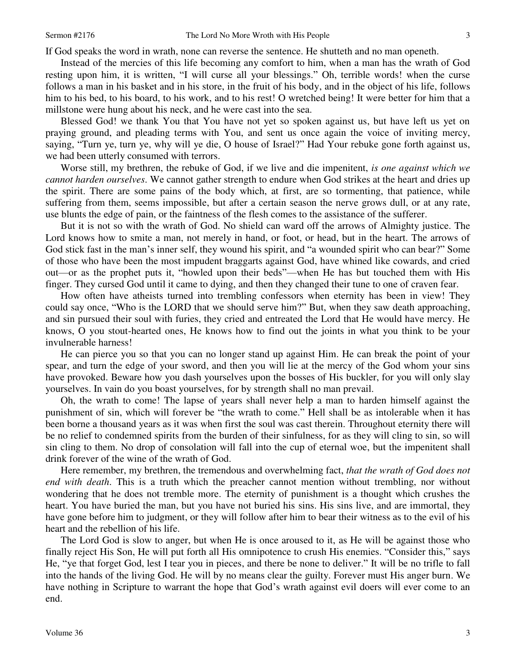If God speaks the word in wrath, none can reverse the sentence. He shutteth and no man openeth.

 Instead of the mercies of this life becoming any comfort to him, when a man has the wrath of God resting upon him, it is written, "I will curse all your blessings." Oh, terrible words! when the curse follows a man in his basket and in his store, in the fruit of his body, and in the object of his life, follows him to his bed, to his board, to his work, and to his rest! O wretched being! It were better for him that a millstone were hung about his neck, and he were cast into the sea.

 Blessed God! we thank You that You have not yet so spoken against us, but have left us yet on praying ground, and pleading terms with You, and sent us once again the voice of inviting mercy, saying, "Turn ye, turn ye, why will ye die, O house of Israel?" Had Your rebuke gone forth against us, we had been utterly consumed with terrors.

 Worse still, my brethren, the rebuke of God, if we live and die impenitent, *is one against which we cannot harden ourselves*. We cannot gather strength to endure when God strikes at the heart and dries up the spirit. There are some pains of the body which, at first, are so tormenting, that patience, while suffering from them, seems impossible, but after a certain season the nerve grows dull, or at any rate, use blunts the edge of pain, or the faintness of the flesh comes to the assistance of the sufferer.

 But it is not so with the wrath of God. No shield can ward off the arrows of Almighty justice. The Lord knows how to smite a man, not merely in hand, or foot, or head, but in the heart. The arrows of God stick fast in the man's inner self, they wound his spirit, and "a wounded spirit who can bear?" Some of those who have been the most impudent braggarts against God, have whined like cowards, and cried out—or as the prophet puts it, "howled upon their beds"—when He has but touched them with His finger. They cursed God until it came to dying, and then they changed their tune to one of craven fear.

 How often have atheists turned into trembling confessors when eternity has been in view! They could say once, "Who is the LORD that we should serve him?" But, when they saw death approaching, and sin pursued their soul with furies, they cried and entreated the Lord that He would have mercy. He knows, O you stout-hearted ones, He knows how to find out the joints in what you think to be your invulnerable harness!

 He can pierce you so that you can no longer stand up against Him. He can break the point of your spear, and turn the edge of your sword, and then you will lie at the mercy of the God whom your sins have provoked. Beware how you dash yourselves upon the bosses of His buckler, for you will only slay yourselves. In vain do you boast yourselves, for by strength shall no man prevail.

 Oh, the wrath to come! The lapse of years shall never help a man to harden himself against the punishment of sin, which will forever be "the wrath to come." Hell shall be as intolerable when it has been borne a thousand years as it was when first the soul was cast therein. Throughout eternity there will be no relief to condemned spirits from the burden of their sinfulness, for as they will cling to sin, so will sin cling to them. No drop of consolation will fall into the cup of eternal woe, but the impenitent shall drink forever of the wine of the wrath of God.

 Here remember, my brethren, the tremendous and overwhelming fact, *that the wrath of God does not end with death*. This is a truth which the preacher cannot mention without trembling, nor without wondering that he does not tremble more. The eternity of punishment is a thought which crushes the heart. You have buried the man, but you have not buried his sins. His sins live, and are immortal, they have gone before him to judgment, or they will follow after him to bear their witness as to the evil of his heart and the rebellion of his life.

 The Lord God is slow to anger, but when He is once aroused to it, as He will be against those who finally reject His Son, He will put forth all His omnipotence to crush His enemies. "Consider this," says He, "ye that forget God, lest I tear you in pieces, and there be none to deliver." It will be no trifle to fall into the hands of the living God. He will by no means clear the guilty. Forever must His anger burn. We have nothing in Scripture to warrant the hope that God's wrath against evil doers will ever come to an end.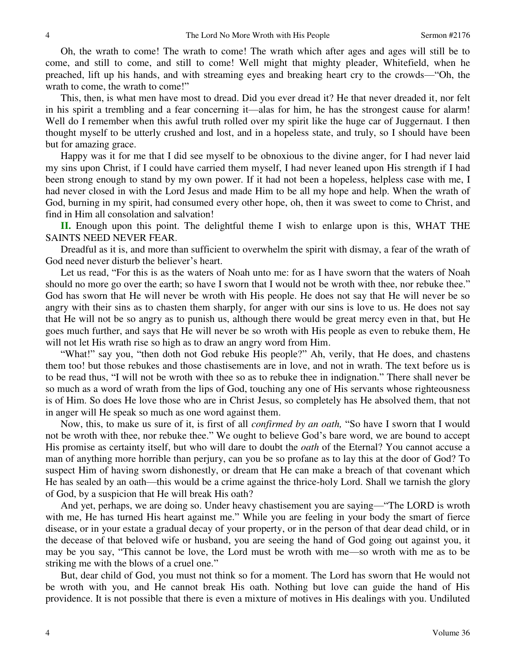Oh, the wrath to come! The wrath to come! The wrath which after ages and ages will still be to come, and still to come, and still to come! Well might that mighty pleader, Whitefield, when he preached, lift up his hands, and with streaming eyes and breaking heart cry to the crowds—"Oh, the wrath to come, the wrath to come!"

 This, then, is what men have most to dread. Did you ever dread it? He that never dreaded it, nor felt in his spirit a trembling and a fear concerning it—alas for him, he has the strongest cause for alarm! Well do I remember when this awful truth rolled over my spirit like the huge car of Juggernaut. I then thought myself to be utterly crushed and lost, and in a hopeless state, and truly, so I should have been but for amazing grace.

 Happy was it for me that I did see myself to be obnoxious to the divine anger, for I had never laid my sins upon Christ, if I could have carried them myself, I had never leaned upon His strength if I had been strong enough to stand by my own power. If it had not been a hopeless, helpless case with me, I had never closed in with the Lord Jesus and made Him to be all my hope and help. When the wrath of God, burning in my spirit, had consumed every other hope, oh, then it was sweet to come to Christ, and find in Him all consolation and salvation!

**II.** Enough upon this point. The delightful theme I wish to enlarge upon is this, WHAT THE SAINTS NEED NEVER FEAR.

 Dreadful as it is, and more than sufficient to overwhelm the spirit with dismay, a fear of the wrath of God need never disturb the believer's heart.

 Let us read, "For this is as the waters of Noah unto me: for as I have sworn that the waters of Noah should no more go over the earth; so have I sworn that I would not be wroth with thee, nor rebuke thee." God has sworn that He will never be wroth with His people. He does not say that He will never be so angry with their sins as to chasten them sharply, for anger with our sins is love to us. He does not say that He will not be so angry as to punish us, although there would be great mercy even in that, but He goes much further, and says that He will never be so wroth with His people as even to rebuke them, He will not let His wrath rise so high as to draw an angry word from Him.

"What!" say you, "then doth not God rebuke His people?" Ah, verily, that He does, and chastens them too! but those rebukes and those chastisements are in love, and not in wrath. The text before us is to be read thus, "I will not be wroth with thee so as to rebuke thee in indignation." There shall never be so much as a word of wrath from the lips of God, touching any one of His servants whose righteousness is of Him. So does He love those who are in Christ Jesus, so completely has He absolved them, that not in anger will He speak so much as one word against them.

 Now, this, to make us sure of it, is first of all *confirmed by an oath,* "So have I sworn that I would not be wroth with thee, nor rebuke thee." We ought to believe God's bare word, we are bound to accept His promise as certainty itself, but who will dare to doubt the *oath* of the Eternal? You cannot accuse a man of anything more horrible than perjury, can you be so profane as to lay this at the door of God? To suspect Him of having sworn dishonestly, or dream that He can make a breach of that covenant which He has sealed by an oath—this would be a crime against the thrice-holy Lord. Shall we tarnish the glory of God, by a suspicion that He will break His oath?

 And yet, perhaps, we are doing so. Under heavy chastisement you are saying—"The LORD is wroth with me, He has turned His heart against me." While you are feeling in your body the smart of fierce disease, or in your estate a gradual decay of your property, or in the person of that dear dead child, or in the decease of that beloved wife or husband, you are seeing the hand of God going out against you, it may be you say, "This cannot be love, the Lord must be wroth with me—so wroth with me as to be striking me with the blows of a cruel one."

 But, dear child of God, you must not think so for a moment. The Lord has sworn that He would not be wroth with you, and He cannot break His oath. Nothing but love can guide the hand of His providence. It is not possible that there is even a mixture of motives in His dealings with you. Undiluted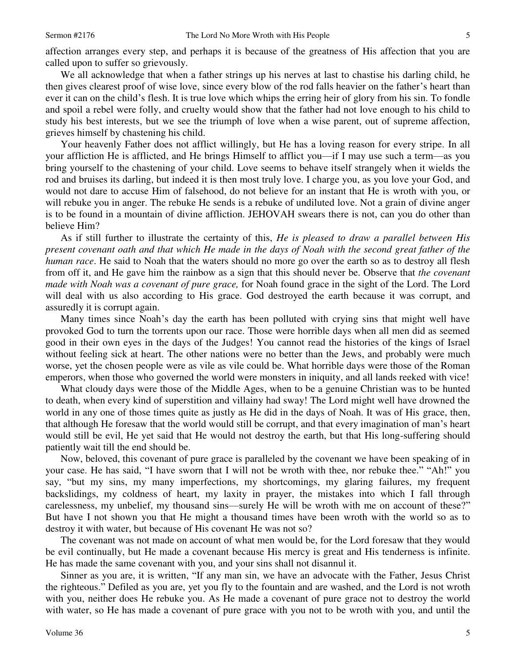affection arranges every step, and perhaps it is because of the greatness of His affection that you are called upon to suffer so grievously.

 We all acknowledge that when a father strings up his nerves at last to chastise his darling child, he then gives clearest proof of wise love, since every blow of the rod falls heavier on the father's heart than ever it can on the child's flesh. It is true love which whips the erring heir of glory from his sin. To fondle and spoil a rebel were folly, and cruelty would show that the father had not love enough to his child to study his best interests, but we see the triumph of love when a wise parent, out of supreme affection, grieves himself by chastening his child.

 Your heavenly Father does not afflict willingly, but He has a loving reason for every stripe. In all your affliction He is afflicted, and He brings Himself to afflict you—if I may use such a term—as you bring yourself to the chastening of your child. Love seems to behave itself strangely when it wields the rod and bruises its darling, but indeed it is then most truly love. I charge you, as you love your God, and would not dare to accuse Him of falsehood, do not believe for an instant that He is wroth with you, or will rebuke you in anger. The rebuke He sends is a rebuke of undiluted love. Not a grain of divine anger is to be found in a mountain of divine affliction. JEHOVAH swears there is not, can you do other than believe Him?

 As if still further to illustrate the certainty of this, *He is pleased to draw a parallel between His present covenant oath and that which He made in the days of Noah with the second great father of the human race*. He said to Noah that the waters should no more go over the earth so as to destroy all flesh from off it, and He gave him the rainbow as a sign that this should never be. Observe that *the covenant made with Noah was a covenant of pure grace,* for Noah found grace in the sight of the Lord. The Lord will deal with us also according to His grace. God destroyed the earth because it was corrupt, and assuredly it is corrupt again.

 Many times since Noah's day the earth has been polluted with crying sins that might well have provoked God to turn the torrents upon our race. Those were horrible days when all men did as seemed good in their own eyes in the days of the Judges! You cannot read the histories of the kings of Israel without feeling sick at heart. The other nations were no better than the Jews, and probably were much worse, yet the chosen people were as vile as vile could be. What horrible days were those of the Roman emperors, when those who governed the world were monsters in iniquity, and all lands reeked with vice!

 What cloudy days were those of the Middle Ages, when to be a genuine Christian was to be hunted to death, when every kind of superstition and villainy had sway! The Lord might well have drowned the world in any one of those times quite as justly as He did in the days of Noah. It was of His grace, then, that although He foresaw that the world would still be corrupt, and that every imagination of man's heart would still be evil, He yet said that He would not destroy the earth, but that His long-suffering should patiently wait till the end should be.

 Now, beloved, this covenant of pure grace is paralleled by the covenant we have been speaking of in your case. He has said, "I have sworn that I will not be wroth with thee, nor rebuke thee." "Ah!" you say, "but my sins, my many imperfections, my shortcomings, my glaring failures, my frequent backslidings, my coldness of heart, my laxity in prayer, the mistakes into which I fall through carelessness, my unbelief, my thousand sins—surely He will be wroth with me on account of these?" But have I not shown you that He might a thousand times have been wroth with the world so as to destroy it with water, but because of His covenant He was not so?

 The covenant was not made on account of what men would be, for the Lord foresaw that they would be evil continually, but He made a covenant because His mercy is great and His tenderness is infinite. He has made the same covenant with you, and your sins shall not disannul it.

 Sinner as you are, it is written, "If any man sin, we have an advocate with the Father, Jesus Christ the righteous." Defiled as you are, yet you fly to the fountain and are washed, and the Lord is not wroth with you, neither does He rebuke you. As He made a covenant of pure grace not to destroy the world with water, so He has made a covenant of pure grace with you not to be wroth with you, and until the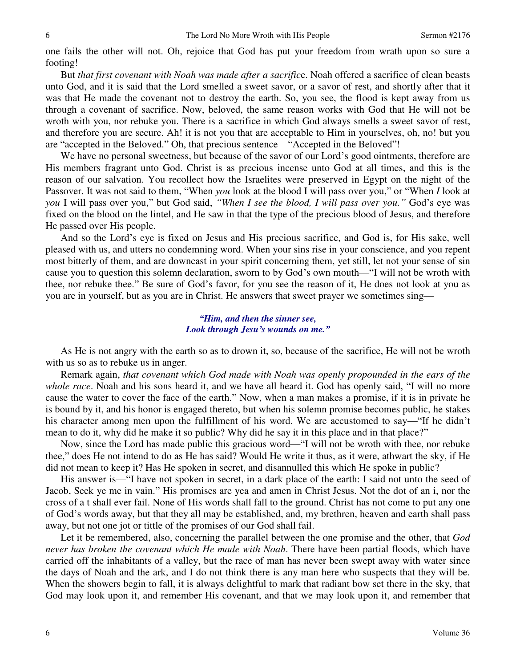one fails the other will not. Oh, rejoice that God has put your freedom from wrath upon so sure a footing!

 But *that first covenant with Noah was made after a sacrific*e. Noah offered a sacrifice of clean beasts unto God, and it is said that the Lord smelled a sweet savor, or a savor of rest, and shortly after that it was that He made the covenant not to destroy the earth. So, you see, the flood is kept away from us through a covenant of sacrifice. Now, beloved, the same reason works with God that He will not be wroth with you, nor rebuke you. There is a sacrifice in which God always smells a sweet savor of rest, and therefore you are secure. Ah! it is not you that are acceptable to Him in yourselves, oh, no! but you are "accepted in the Beloved." Oh, that precious sentence—"Accepted in the Beloved"!

We have no personal sweetness, but because of the savor of our Lord's good ointments, therefore are His members fragrant unto God. Christ is as precious incense unto God at all times, and this is the reason of our salvation. You recollect how the Israelites were preserved in Egypt on the night of the Passover. It was not said to them, "When *you* look at the blood I will pass over you," or "When *I* look at *you* I will pass over you," but God said, *"When I see the blood, I will pass over you."* God's eye was fixed on the blood on the lintel, and He saw in that the type of the precious blood of Jesus, and therefore He passed over His people.

 And so the Lord's eye is fixed on Jesus and His precious sacrifice, and God is, for His sake, well pleased with us, and utters no condemning word. When your sins rise in your conscience, and you repent most bitterly of them, and are downcast in your spirit concerning them, yet still, let not your sense of sin cause you to question this solemn declaration, sworn to by God's own mouth—"I will not be wroth with thee, nor rebuke thee." Be sure of God's favor, for you see the reason of it, He does not look at you as you are in yourself, but as you are in Christ. He answers that sweet prayer we sometimes sing—

#### *"Him, and then the sinner see, Look through Jesu's wounds on me."*

 As He is not angry with the earth so as to drown it, so, because of the sacrifice, He will not be wroth with us so as to rebuke us in anger.

 Remark again, *that covenant which God made with Noah was openly propounded in the ears of the whole race*. Noah and his sons heard it, and we have all heard it. God has openly said, "I will no more cause the water to cover the face of the earth." Now, when a man makes a promise, if it is in private he is bound by it, and his honor is engaged thereto, but when his solemn promise becomes public, he stakes his character among men upon the fulfillment of his word. We are accustomed to say—"If he didn't mean to do it, why did he make it so public? Why did he say it in this place and in that place?"

 Now, since the Lord has made public this gracious word—"I will not be wroth with thee, nor rebuke thee," does He not intend to do as He has said? Would He write it thus, as it were, athwart the sky, if He did not mean to keep it? Has He spoken in secret, and disannulled this which He spoke in public?

 His answer is—"I have not spoken in secret, in a dark place of the earth: I said not unto the seed of Jacob, Seek ye me in vain." His promises are yea and amen in Christ Jesus. Not the dot of an i, nor the cross of a t shall ever fail. None of His words shall fall to the ground. Christ has not come to put any one of God's words away, but that they all may be established, and, my brethren, heaven and earth shall pass away, but not one jot or tittle of the promises of our God shall fail.

 Let it be remembered, also, concerning the parallel between the one promise and the other, that *God never has broken the covenant which He made with Noah*. There have been partial floods, which have carried off the inhabitants of a valley, but the race of man has never been swept away with water since the days of Noah and the ark, and I do not think there is any man here who suspects that they will be. When the showers begin to fall, it is always delightful to mark that radiant bow set there in the sky, that God may look upon it, and remember His covenant, and that we may look upon it, and remember that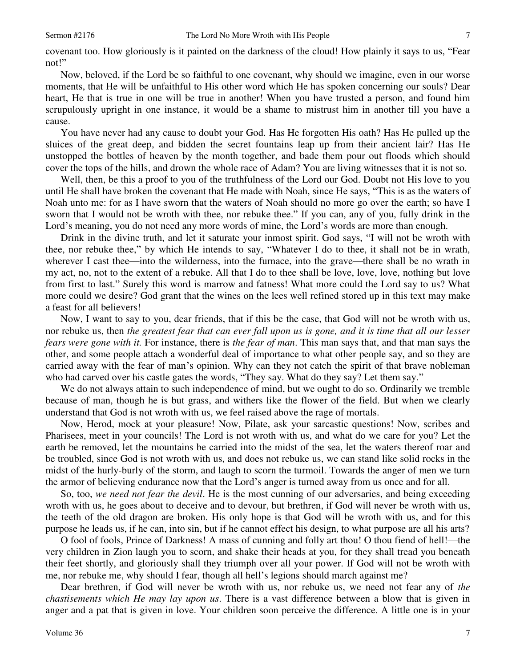covenant too. How gloriously is it painted on the darkness of the cloud! How plainly it says to us, "Fear not!"

 Now, beloved, if the Lord be so faithful to one covenant, why should we imagine, even in our worse moments, that He will be unfaithful to His other word which He has spoken concerning our souls? Dear heart, He that is true in one will be true in another! When you have trusted a person, and found him scrupulously upright in one instance, it would be a shame to mistrust him in another till you have a cause.

 You have never had any cause to doubt your God. Has He forgotten His oath? Has He pulled up the sluices of the great deep, and bidden the secret fountains leap up from their ancient lair? Has He unstopped the bottles of heaven by the month together, and bade them pour out floods which should cover the tops of the hills, and drown the whole race of Adam? You are living witnesses that it is not so.

 Well, then, be this a proof to you of the truthfulness of the Lord our God. Doubt not His love to you until He shall have broken the covenant that He made with Noah, since He says, "This is as the waters of Noah unto me: for as I have sworn that the waters of Noah should no more go over the earth; so have I sworn that I would not be wroth with thee, nor rebuke thee." If you can, any of you, fully drink in the Lord's meaning, you do not need any more words of mine, the Lord's words are more than enough.

 Drink in the divine truth, and let it saturate your inmost spirit. God says, "I will not be wroth with thee, nor rebuke thee," by which He intends to say, "Whatever I do to thee, it shall not be in wrath, wherever I cast thee—into the wilderness, into the furnace, into the grave—there shall be no wrath in my act, no, not to the extent of a rebuke. All that I do to thee shall be love, love, love, nothing but love from first to last." Surely this word is marrow and fatness! What more could the Lord say to us? What more could we desire? God grant that the wines on the lees well refined stored up in this text may make a feast for all believers!

 Now, I want to say to you, dear friends, that if this be the case, that God will not be wroth with us, nor rebuke us, then *the greatest fear that can ever fall upon us is gone, and it is time that all our lesser fears were gone with it.* For instance, there is *the fear of man*. This man says that, and that man says the other, and some people attach a wonderful deal of importance to what other people say, and so they are carried away with the fear of man's opinion. Why can they not catch the spirit of that brave nobleman who had carved over his castle gates the words, "They say. What do they say? Let them say."

 We do not always attain to such independence of mind, but we ought to do so. Ordinarily we tremble because of man, though he is but grass, and withers like the flower of the field. But when we clearly understand that God is not wroth with us, we feel raised above the rage of mortals.

 Now, Herod, mock at your pleasure! Now, Pilate, ask your sarcastic questions! Now, scribes and Pharisees, meet in your councils! The Lord is not wroth with us, and what do we care for you? Let the earth be removed, let the mountains be carried into the midst of the sea, let the waters thereof roar and be troubled, since God is not wroth with us, and does not rebuke us, we can stand like solid rocks in the midst of the hurly-burly of the storm, and laugh to scorn the turmoil. Towards the anger of men we turn the armor of believing endurance now that the Lord's anger is turned away from us once and for all.

 So, too, *we need not fear the devil*. He is the most cunning of our adversaries, and being exceeding wroth with us, he goes about to deceive and to devour, but brethren, if God will never be wroth with us, the teeth of the old dragon are broken. His only hope is that God will be wroth with us, and for this purpose he leads us, if he can, into sin, but if he cannot effect his design, to what purpose are all his arts?

 O fool of fools, Prince of Darkness! A mass of cunning and folly art thou! O thou fiend of hell!—the very children in Zion laugh you to scorn, and shake their heads at you, for they shall tread you beneath their feet shortly, and gloriously shall they triumph over all your power. If God will not be wroth with me, nor rebuke me, why should I fear, though all hell's legions should march against me?

 Dear brethren, if God will never be wroth with us, nor rebuke us, we need not fear any of *the chastisements which He may lay upon us*. There is a vast difference between a blow that is given in anger and a pat that is given in love. Your children soon perceive the difference. A little one is in your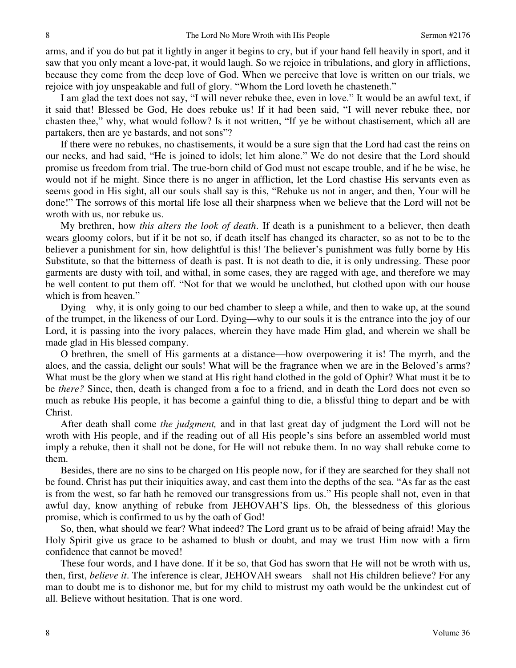arms, and if you do but pat it lightly in anger it begins to cry, but if your hand fell heavily in sport, and it saw that you only meant a love-pat, it would laugh. So we rejoice in tribulations, and glory in afflictions, because they come from the deep love of God. When we perceive that love is written on our trials, we rejoice with joy unspeakable and full of glory. "Whom the Lord loveth he chasteneth."

 I am glad the text does not say, "I will never rebuke thee, even in love." It would be an awful text, if it said that! Blessed be God, He does rebuke us! If it had been said, "I will never rebuke thee, nor chasten thee," why, what would follow? Is it not written, "If ye be without chastisement, which all are partakers, then are ye bastards, and not sons"?

 If there were no rebukes, no chastisements, it would be a sure sign that the Lord had cast the reins on our necks, and had said, "He is joined to idols; let him alone." We do not desire that the Lord should promise us freedom from trial. The true-born child of God must not escape trouble, and if he be wise, he would not if he might. Since there is no anger in affliction, let the Lord chastise His servants even as seems good in His sight, all our souls shall say is this, "Rebuke us not in anger, and then, Your will be done!" The sorrows of this mortal life lose all their sharpness when we believe that the Lord will not be wroth with us, nor rebuke us.

 My brethren, how *this alters the look of death*. If death is a punishment to a believer, then death wears gloomy colors, but if it be not so, if death itself has changed its character, so as not to be to the believer a punishment for sin, how delightful is this! The believer's punishment was fully borne by His Substitute, so that the bitterness of death is past. It is not death to die, it is only undressing. These poor garments are dusty with toil, and withal, in some cases, they are ragged with age, and therefore we may be well content to put them off. "Not for that we would be unclothed, but clothed upon with our house which is from heaven."

 Dying—why, it is only going to our bed chamber to sleep a while, and then to wake up, at the sound of the trumpet, in the likeness of our Lord. Dying—why to our souls it is the entrance into the joy of our Lord, it is passing into the ivory palaces, wherein they have made Him glad, and wherein we shall be made glad in His blessed company.

 O brethren, the smell of His garments at a distance—how overpowering it is! The myrrh, and the aloes, and the cassia, delight our souls! What will be the fragrance when we are in the Beloved's arms? What must be the glory when we stand at His right hand clothed in the gold of Ophir? What must it be to be *there?* Since, then, death is changed from a foe to a friend, and in death the Lord does not even so much as rebuke His people, it has become a gainful thing to die, a blissful thing to depart and be with Christ.

 After death shall come *the judgment,* and in that last great day of judgment the Lord will not be wroth with His people, and if the reading out of all His people's sins before an assembled world must imply a rebuke, then it shall not be done, for He will not rebuke them. In no way shall rebuke come to them.

 Besides, there are no sins to be charged on His people now, for if they are searched for they shall not be found. Christ has put their iniquities away, and cast them into the depths of the sea. "As far as the east is from the west, so far hath he removed our transgressions from us." His people shall not, even in that awful day, know anything of rebuke from JEHOVAH'S lips. Oh, the blessedness of this glorious promise, which is confirmed to us by the oath of God!

 So, then, what should we fear? What indeed? The Lord grant us to be afraid of being afraid! May the Holy Spirit give us grace to be ashamed to blush or doubt, and may we trust Him now with a firm confidence that cannot be moved!

 These four words, and I have done. If it be so, that God has sworn that He will not be wroth with us, then, first, *believe it*. The inference is clear, JEHOVAH swears—shall not His children believe? For any man to doubt me is to dishonor me, but for my child to mistrust my oath would be the unkindest cut of all. Believe without hesitation. That is one word.